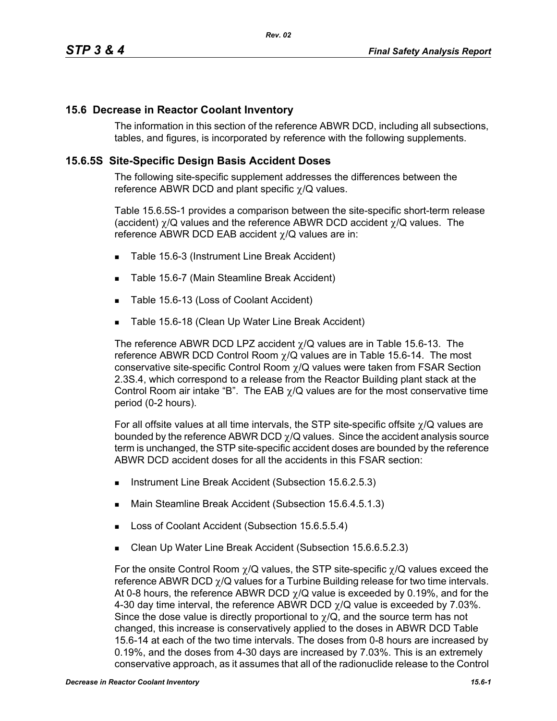## **15.6 Decrease in Reactor Coolant Inventory**

The information in this section of the reference ABWR DCD, including all subsections, tables, and figures, is incorporated by reference with the following supplements.

## **15.6.5S Site-Specific Design Basis Accident Doses**

The following site-specific supplement addresses the differences between the reference ABWR DCD and plant specific χ/Q values.

Table 15.6.5S-1 provides a comparison between the site-specific short-term release (accident)  $\gamma$ /Q values and the reference ABWR DCD accident  $\gamma$ /Q values. The reference ABWR DCD EAB accident χ/Q values are in:

- Table 15.6-3 (Instrument Line Break Accident)
- Table 15.6-7 (Main Steamline Break Accident)
- Table 15.6-13 (Loss of Coolant Accident)
- Table 15.6-18 (Clean Up Water Line Break Accident)

The reference ABWR DCD LPZ accident  $\chi$ /Q values are in Table 15.6-13. The reference ABWR DCD Control Room  $\chi$ /Q values are in Table 15.6-14. The most conservative site-specific Control Room χ/Q values were taken from FSAR Section 2.3S.4, which correspond to a release from the Reactor Building plant stack at the Control Room air intake "B". The EAB  $\gamma$ /Q values are for the most conservative time period (0-2 hours).

For all offsite values at all time intervals, the STP site-specific offsite χ/Q values are bounded by the reference ABWR DCD  $\gamma$ /Q values. Since the accident analysis source term is unchanged, the STP site-specific accident doses are bounded by the reference ABWR DCD accident doses for all the accidents in this FSAR section:

- Instrument Line Break Accident (Subsection 15.6.2.5.3)
- Main Steamline Break Accident (Subsection 15.6.4.5.1.3)
- Loss of Coolant Accident (Subsection 15.6.5.5.4)
- Clean Up Water Line Break Accident (Subsection 15.6.6.5.2.3)

For the onsite Control Room  $\chi$ /Q values, the STP site-specific  $\chi$ /Q values exceed the reference ABWR DCD  $\chi$ /Q values for a Turbine Building release for two time intervals. At 0-8 hours, the reference ABWR DCD  $\gamma$ /Q value is exceeded by 0.19%, and for the 4-30 day time interval, the reference ABWR DCD  $\chi$ /Q value is exceeded by 7.03%. Since the dose value is directly proportional to  $\gamma/Q$ , and the source term has not changed, this increase is conservatively applied to the doses in ABWR DCD Table 15.6-14 at each of the two time intervals. The doses from 0-8 hours are increased by 0.19%, and the doses from 4-30 days are increased by 7.03%. This is an extremely conservative approach, as it assumes that all of the radionuclide release to the Control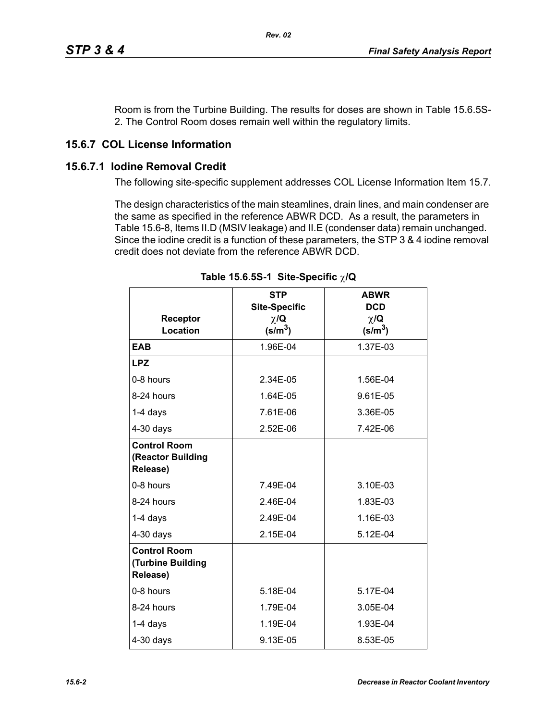Room is from the Turbine Building. The results for doses are shown in Table 15.6.5S-2. The Control Room doses remain well within the regulatory limits.

## **15.6.7 COL License Information**

## **15.6.7.1 Iodine Removal Credit**

The following site-specific supplement addresses COL License Information Item 15.7.

The design characteristics of the main steamlines, drain lines, and main condenser are the same as specified in the reference ABWR DCD. As a result, the parameters in Table 15.6-8, Items II.D (MSIV leakage) and II.E (condenser data) remain unchanged. Since the iodine credit is a function of these parameters, the STP 3 & 4 iodine removal credit does not deviate from the reference ABWR DCD.

|                                                      | <b>STP</b><br><b>Site-Specific</b> | <b>ABWR</b><br><b>DCD</b>      |
|------------------------------------------------------|------------------------------------|--------------------------------|
| Receptor<br><b>Location</b>                          | $\chi/\mathbf{Q}$<br>$(s/m^3)$     | $\chi/\mathbf{Q}$<br>$(s/m^3)$ |
| <b>EAB</b>                                           | 1.96E-04                           | 1.37E-03                       |
| <b>LPZ</b>                                           |                                    |                                |
| 0-8 hours                                            | 2.34E-05                           | 1.56E-04                       |
| 8-24 hours                                           | 1.64E-05                           | 9.61E-05                       |
| 1-4 days                                             | 7.61E-06                           | 3.36E-05                       |
| $4-30$ days                                          | 2.52E-06                           | 7.42E-06                       |
| <b>Control Room</b><br>(Reactor Building<br>Release) |                                    |                                |
| 0-8 hours                                            | 7.49E-04                           | 3.10E-03                       |
| 8-24 hours                                           | 2.46E-04                           | 1.83E-03                       |
| $1-4$ days                                           | 2.49E-04                           | 1.16E-03                       |
| $4-30$ days                                          | 2.15E-04                           | 5.12E-04                       |
| <b>Control Room</b><br>(Turbine Building<br>Release) |                                    |                                |
| 0-8 hours                                            | 5.18E-04                           | 5.17E-04                       |
| 8-24 hours                                           | 1.79E-04                           | 3.05E-04                       |
| $1-4$ days                                           | 1.19E-04                           | 1.93E-04                       |
| $4-30$ days                                          | 9.13E-05                           | 8.53E-05                       |

**Table 15.6.5S-1 Site-Specific** χ**/Q**